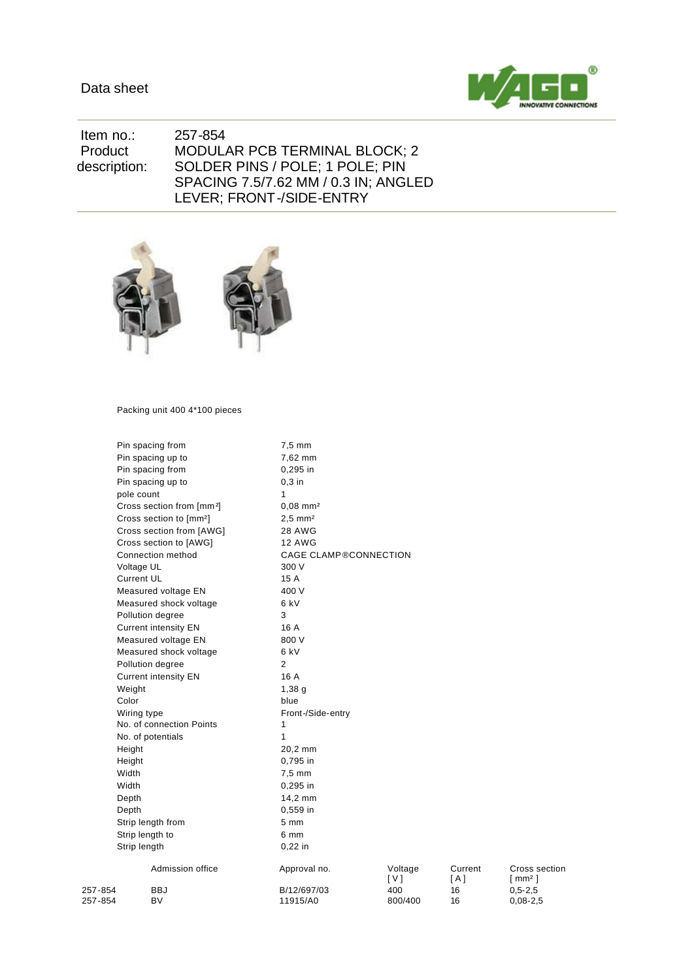

 Item no.: 257-854 Product description: MODULAR PCB TERMINAL BLOCK; 2 SOLDER PINS / POLE; 1 POLE; PIN SPACING 7.5/7.62 MM / 0.3 IN; ANGLED LEVER; FRONT-/SIDE-ENTRY



Packing unit 400 4\*100 pieces

|                                                                        | Pin spacing from<br>7,5 mm            |                              |                |                |                                     |  |  |
|------------------------------------------------------------------------|---------------------------------------|------------------------------|----------------|----------------|-------------------------------------|--|--|
|                                                                        | Pin spacing up to                     | 7,62 mm                      |                |                |                                     |  |  |
| Pin spacing from<br>Pin spacing up to                                  |                                       | 0,295 in                     |                |                |                                     |  |  |
|                                                                        |                                       | $0,3$ in                     |                |                |                                     |  |  |
|                                                                        | pole count                            | 1                            |                |                |                                     |  |  |
|                                                                        | Cross section from [mm <sup>2</sup> ] | $0,08$ mm <sup>2</sup>       |                |                |                                     |  |  |
|                                                                        | Cross section to [mm <sup>2</sup> ]   | $2,5 \, \text{mm}^2$         |                |                |                                     |  |  |
|                                                                        | Cross section from [AWG]              | <b>28 AWG</b>                |                |                |                                     |  |  |
|                                                                        | Cross section to [AWG]                | <b>12 AWG</b>                |                |                |                                     |  |  |
|                                                                        | Connection method                     | <b>CAGE CLAMP®CONNECTION</b> |                |                |                                     |  |  |
|                                                                        | Voltage UL                            | 300 V                        |                |                |                                     |  |  |
|                                                                        | <b>Current UL</b>                     | 15 A                         |                |                |                                     |  |  |
|                                                                        | Measured voltage EN                   | 400 V                        |                |                |                                     |  |  |
|                                                                        | Measured shock voltage                | 6 kV                         |                |                |                                     |  |  |
| Pollution degree                                                       |                                       | 3                            |                |                |                                     |  |  |
|                                                                        | <b>Current intensity EN</b>           | 16 A                         |                |                |                                     |  |  |
|                                                                        | Measured voltage EN                   | 800 V                        |                |                |                                     |  |  |
|                                                                        | Measured shock voltage                | 6 kV                         |                |                |                                     |  |  |
|                                                                        | Pollution degree                      | 2                            |                |                |                                     |  |  |
|                                                                        | <b>Current intensity EN</b>           | 16 A                         |                |                |                                     |  |  |
| Weight                                                                 |                                       | 1,38,9                       |                |                |                                     |  |  |
| Color                                                                  |                                       | blue                         |                |                |                                     |  |  |
| Wiring type<br>No. of connection Points<br>No. of potentials<br>Height |                                       | Front-/Side-entry            |                |                |                                     |  |  |
|                                                                        |                                       | 1                            |                |                |                                     |  |  |
|                                                                        |                                       | $\mathbf{1}$                 |                |                |                                     |  |  |
|                                                                        |                                       | 20,2 mm                      |                |                |                                     |  |  |
| Height                                                                 |                                       | 0,795 in                     |                |                |                                     |  |  |
| Width                                                                  |                                       | $7,5$ mm                     |                |                |                                     |  |  |
| Width                                                                  |                                       | 0,295 in                     |                |                |                                     |  |  |
| Depth                                                                  |                                       | 14,2 mm                      |                |                |                                     |  |  |
| Depth                                                                  |                                       | 0,559 in                     |                |                |                                     |  |  |
| Strip length from                                                      |                                       | 5 <sub>mm</sub>              |                |                |                                     |  |  |
| Strip length to                                                        |                                       | 6 mm                         |                |                |                                     |  |  |
| Strip length                                                           |                                       | $0,22$ in                    |                |                |                                     |  |  |
|                                                                        | Admission office                      | Approval no.                 | Voltage<br>[V] | Current<br>[A] | Cross section<br>[mm <sup>2</sup> ] |  |  |
| 257-854                                                                | <b>BBJ</b>                            | B/12/697/03                  | 400            | 16             | $0,5 - 2,5$                         |  |  |
| 257-854                                                                | BV                                    | 11915/A0                     | 800/400        | 16             | $0,08 - 2,5$                        |  |  |
|                                                                        |                                       |                              |                |                |                                     |  |  |